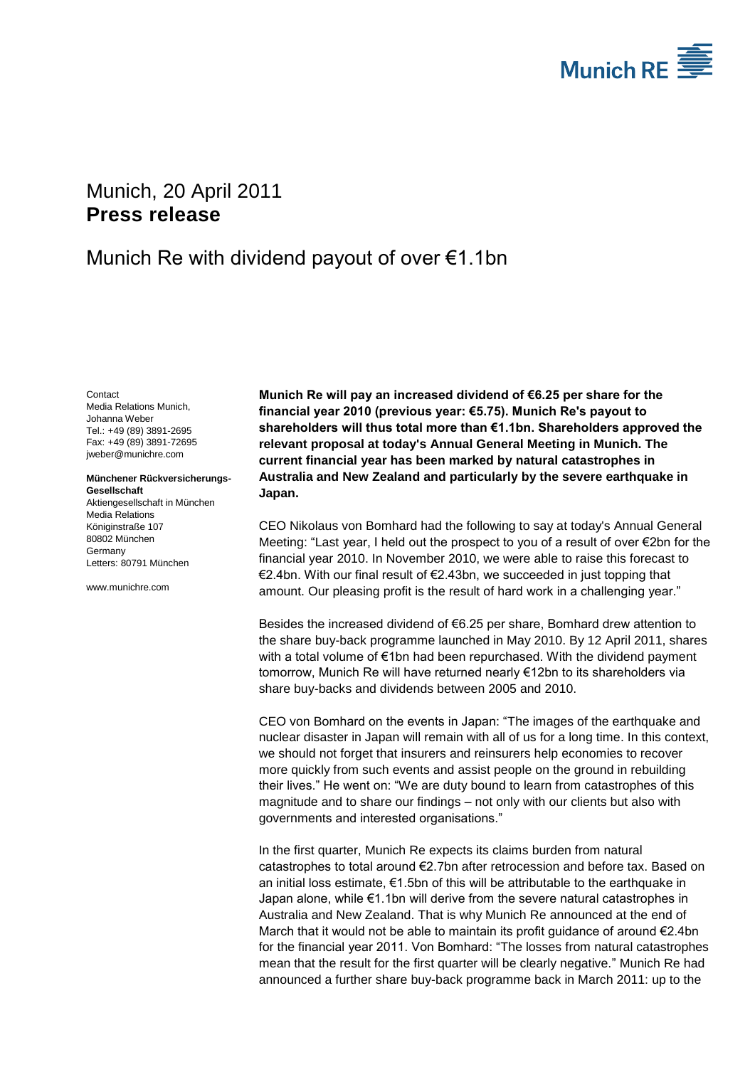

# <span id="page-0-2"></span>Munich, 20 April 2011 **Press release**

## Munich Re with dividend payout of over €1.1bn

<span id="page-0-1"></span><span id="page-0-0"></span>Contact Media Relations Munich, Johanna Weber Tel.: +49 (89) 3891-2695 Fax: +49 (89) 3891-72695 jweber@munichre.com

**Münchener Rückversicherungs-Gesellschaft** Aktiengesellschaft in München Media Relations Königinstraße 107

80802 München Germany Letters: 80791 München

www.munichre.com

**Munich Re will pay an increased dividend of €6.25 per share for the financial year 2010 (previous year: €5.75). Munich Re's payout to shareholders will thus total more than €1.1bn. Shareholders approved the relevant proposal at today's Annual General Meeting in Munich. The current financial year has been marked by natural catastrophes in Australia and New Zealand and particularly by the severe earthquake in Japan.**

CEO Nikolaus von Bomhard had the following to say at today's Annual General Meeting: "Last year, I held out the prospect to you of a result of over €2bn for the financial year 2010. In November 2010, we were able to raise this forecast to €2.4bn. With our final result of €2.43bn, we succeeded in just topping that amount. Our pleasing profit is the result of hard work in a challenging year."

Besides the increased dividend of €6.25 per share, Bomhard drew attention to the share buy-back programme launched in May 2010. By 12 April 2011, shares with a total volume of €1bn had been repurchased. With the dividend payment tomorrow, Munich Re will have returned nearly €12bn to its shareholders via share buy-backs and dividends between 2005 and 2010.

CEO von Bomhard on the events in Japan: "The images of the earthquake and nuclear disaster in Japan will remain with all of us for a long time. In this context, we should not forget that insurers and reinsurers help economies to recover more quickly from such events and assist people on the ground in rebuilding their lives." He went on: "We are duty bound to learn from catastrophes of this magnitude and to share our findings – not only with our clients but also with governments and interested organisations."

In the first quarter, Munich Re expects its claims burden from natural catastrophes to total around  $\epsilon$ 2.7bn after retrocession and before tax. Based on an initial loss estimate, €1.5bn of this will be attributable to the earthquake in Japan alone, while €1.1bn will derive from the severe natural catastrophes in Australia and New Zealand. That is why Munich Re announced at the end of March that it would not be able to maintain its profit guidance of around  $\epsilon$ 2.4bn for the financial year 2011. Von Bomhard: "The losses from natural catastrophes mean that the result for the first quarter will be clearly negative." Munich Re had announced a further share buy-back programme back in March 2011: up to the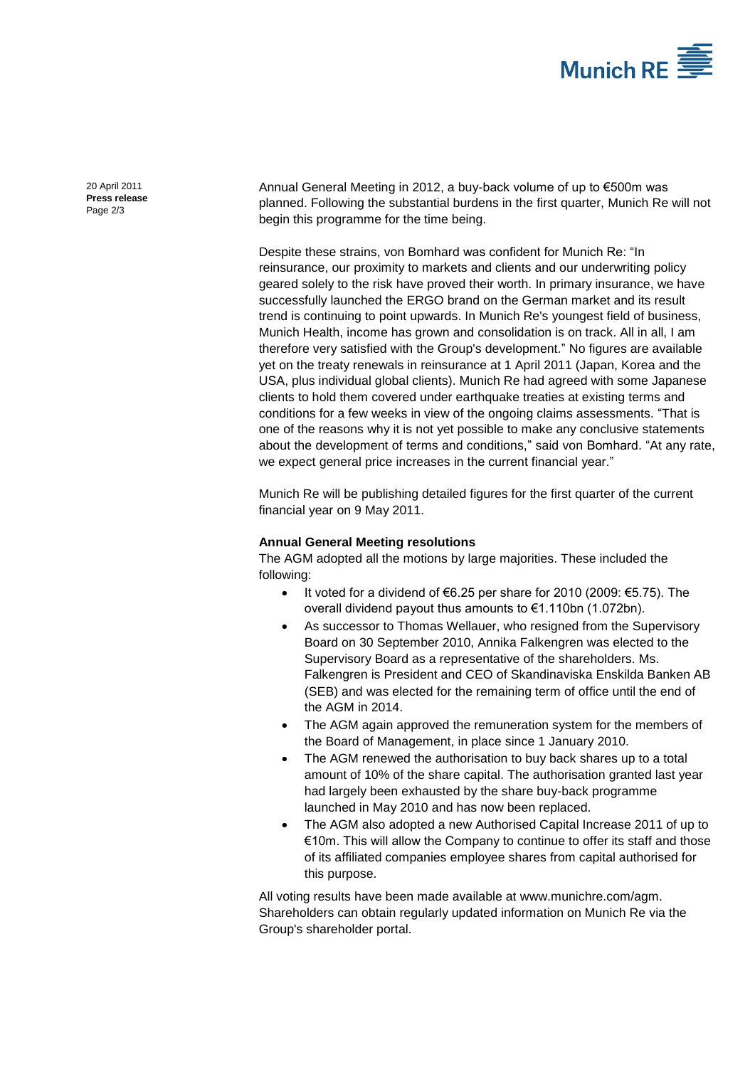

20 April 2011 **Press release** Page 2/3

Annual General Meeting in 2012, a buy-back volume of up to €500m was planned. Following the substantial burdens in the first quarter, Munich Re will not begin this programme for the time being.

Despite these strains, von Bomhard was confident for Munich Re: "In reinsurance, our proximity to markets and clients and our underwriting policy geared solely to the risk have proved their worth. In primary insurance, we have successfully launched the ERGO brand on the German market and its result trend is continuing to point upwards. In Munich Re's youngest field of business, Munich Health, income has grown and consolidation is on track. All in all, I am therefore very satisfied with the Group's development." No figures are available yet on the treaty renewals in reinsurance at 1 April 2011 (Japan, Korea and the USA, plus individual global clients). Munich Re had agreed with some Japanese clients to hold them covered under earthquake treaties at existing terms and conditions for a few weeks in view of the ongoing claims assessments. "That is one of the reasons why it is not yet possible to make any conclusive statements about the development of terms and conditions," said von Bomhard. "At any rate, we expect general price increases in the current financial year."

Munich Re will be publishing detailed figures for the first quarter of the current financial year on 9 May 2011.

## **Annual General Meeting resolutions**

The AGM adopted all the motions by large majorities. These included the following:

- $\bullet$  It voted for a dividend of €6.25 per share for 2010 (2009: €5.75). The overall dividend payout thus amounts to €1.110bn (1.072bn).
- As successor to Thomas Wellauer, who resigned from the Supervisory Board on 30 September 2010, Annika Falkengren was elected to the Supervisory Board as a representative of the shareholders. Ms. Falkengren is President and CEO of Skandinaviska Enskilda Banken AB (SEB) and was elected for the remaining term of office until the end of the AGM in 2014.
- The AGM again approved the remuneration system for the members of the Board of Management, in place since 1 January 2010.
- The AGM renewed the authorisation to buy back shares up to a total amount of 10% of the share capital. The authorisation granted last year had largely been exhausted by the share buy-back programme launched in May 2010 and has now been replaced.
- The AGM also adopted a new Authorised Capital Increase 2011 of up to €10m. This will allow the Company to continue to offer its staff and those of its affiliated companies employee shares from capital authorised for this purpose.

All voting results have been made available at www.munichre.com/agm. Shareholders can obtain regularly updated information on Munich Re via the Group's shareholder portal.